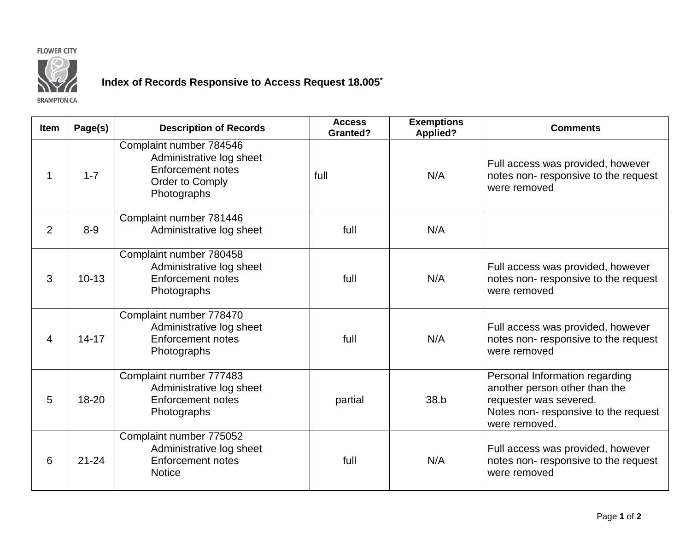## **FLOWER CITY**



## **Index of Records Responsive to Access Request 18.005\***

**BRAMPTON.CA** 

| <b>Item</b>    | Page(s)   | <b>Description of Records</b>                                                                                     | <b>Access</b><br><b>Granted?</b> | <b>Exemptions</b><br><b>Applied?</b> | <b>Comments</b>                                                                                                                                   |
|----------------|-----------|-------------------------------------------------------------------------------------------------------------------|----------------------------------|--------------------------------------|---------------------------------------------------------------------------------------------------------------------------------------------------|
|                | $1 - 7$   | Complaint number 784546<br>Administrative log sheet<br><b>Enforcement notes</b><br>Order to Comply<br>Photographs | full                             | N/A                                  | Full access was provided, however<br>notes non-responsive to the request<br>were removed                                                          |
| $\overline{2}$ | $8-9$     | Complaint number 781446<br>Administrative log sheet                                                               | full                             | N/A                                  |                                                                                                                                                   |
| 3              | $10 - 13$ | Complaint number 780458<br>Administrative log sheet<br><b>Enforcement notes</b><br>Photographs                    | full                             | N/A                                  | Full access was provided, however<br>notes non-responsive to the request<br>were removed                                                          |
| 4              | $14 - 17$ | Complaint number 778470<br>Administrative log sheet<br><b>Enforcement notes</b><br>Photographs                    | full                             | N/A                                  | Full access was provided, however<br>notes non-responsive to the request<br>were removed                                                          |
| 5              | 18-20     | Complaint number 777483<br>Administrative log sheet<br><b>Enforcement notes</b><br>Photographs                    | partial                          | 38.b                                 | Personal Information regarding<br>another person other than the<br>requester was severed.<br>Notes non-responsive to the request<br>were removed. |
| 6              | $21 - 24$ | Complaint number 775052<br>Administrative log sheet<br><b>Enforcement notes</b><br><b>Notice</b>                  | full                             | N/A                                  | Full access was provided, however<br>notes non-responsive to the request<br>were removed                                                          |